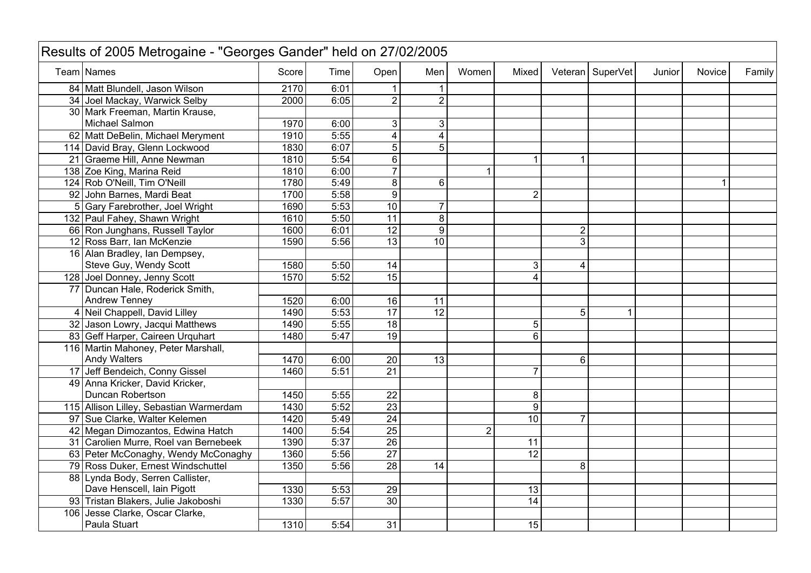| Results of 2005 Metrogaine - "Georges Gander" held on 27/02/2005 |       |      |                 |                 |                |                         |                |                  |        |               |        |
|------------------------------------------------------------------|-------|------|-----------------|-----------------|----------------|-------------------------|----------------|------------------|--------|---------------|--------|
| <b>Team Names</b>                                                | Score | Time | Open            | Men             | Women          | Mixed                   |                | Veteran SuperVet | Junior | <b>Novice</b> | Family |
| 84 Matt Blundell, Jason Wilson                                   | 2170  | 6:01 |                 |                 |                |                         |                |                  |        |               |        |
| 34 Joel Mackay, Warwick Selby                                    | 2000  | 6:05 | $\overline{2}$  | $\overline{2}$  |                |                         |                |                  |        |               |        |
| 30 Mark Freeman, Martin Krause,                                  |       |      |                 |                 |                |                         |                |                  |        |               |        |
| Michael Salmon                                                   | 1970  | 6:00 | $\mathfrak{S}$  | 3               |                |                         |                |                  |        |               |        |
| 62 Matt DeBelin, Michael Meryment                                | 1910  | 5:55 | $\overline{4}$  | 4               |                |                         |                |                  |        |               |        |
| 114 David Bray, Glenn Lockwood                                   | 1830  | 6:07 | $\overline{5}$  | 5               |                |                         |                |                  |        |               |        |
| 21 Graeme Hill, Anne Newman                                      | 1810  | 5:54 | $\overline{6}$  |                 |                | 1                       | 1              |                  |        |               |        |
| 138 Zoe King, Marina Reid                                        | 1810  | 6:00 | $\overline{7}$  |                 | 1              |                         |                |                  |        |               |        |
| 124 Rob O'Neill, Tim O'Neill                                     | 1780  | 5:49 | $\overline{8}$  | 6               |                |                         |                |                  |        |               |        |
| 92 John Barnes, Mardi Beat                                       | 1700  | 5:58 | $\overline{9}$  |                 |                | $\overline{2}$          |                |                  |        |               |        |
| 5 Gary Farebrother, Joel Wright                                  | 1690  | 5:53 | 10              | 7               |                |                         |                |                  |        |               |        |
| 132 Paul Fahey, Shawn Wright                                     | 1610  | 5:50 | 11              | 8               |                |                         |                |                  |        |               |        |
| 66 Ron Junghans, Russell Taylor                                  | 1600  | 6:01 | 12              | $\overline{9}$  |                |                         | $\mathbf 2$    |                  |        |               |        |
| 12 Ross Barr, Ian McKenzie                                       | 1590  | 5:56 | 13              | $\overline{10}$ |                |                         | 3              |                  |        |               |        |
| 16 Alan Bradley, Ian Dempsey,                                    |       |      |                 |                 |                |                         |                |                  |        |               |        |
| Steve Guy, Wendy Scott                                           | 1580  | 5:50 | 14              |                 |                | 3 <sup>1</sup>          | 4              |                  |        |               |        |
| 128 Joel Donney, Jenny Scott                                     | 1570  | 5:52 | 15              |                 |                | $\overline{\mathbf{4}}$ |                |                  |        |               |        |
| 77 Duncan Hale, Roderick Smith,                                  |       |      |                 |                 |                |                         |                |                  |        |               |        |
| Andrew Tenney                                                    | 1520  | 6:00 | 16              | 11              |                |                         |                |                  |        |               |        |
| 4 Neil Chappell, David Lilley                                    | 1490  | 5:53 | $\overline{17}$ | 12              |                |                         | 5              | 1                |        |               |        |
| 32 Jason Lowry, Jacqui Matthews                                  | 1490  | 5:55 | 18              |                 |                | 5                       |                |                  |        |               |        |
| 83 Geff Harper, Caireen Urquhart                                 | 1480  | 5:47 | 19              |                 |                | 6                       |                |                  |        |               |        |
| 116 Martin Mahoney, Peter Marshall,                              |       |      |                 |                 |                |                         |                |                  |        |               |        |
| <b>Andy Walters</b>                                              | 1470  | 6:00 | $\overline{20}$ | 13              |                |                         | 6              |                  |        |               |        |
| 17 Jeff Bendeich, Conny Gissel                                   | 1460  | 5:51 | $\overline{21}$ |                 |                | $\overline{7}$          |                |                  |        |               |        |
| 49 Anna Kricker, David Kricker,                                  |       |      |                 |                 |                |                         |                |                  |        |               |        |
| Duncan Robertson                                                 | 1450  | 5:55 | $\overline{22}$ |                 |                | 8                       |                |                  |        |               |        |
| 115 Allison Lilley, Sebastian Warmerdam                          | 1430  | 5:52 | $\overline{23}$ |                 |                | 9                       |                |                  |        |               |        |
| 97 Sue Clarke, Walter Kelemen                                    | 1420  | 5:49 | $\overline{24}$ |                 |                | 10                      | $\overline{7}$ |                  |        |               |        |
| 42 Megan Dimozantos, Edwina Hatch                                | 1400  | 5:54 | $\overline{25}$ |                 | $\overline{2}$ |                         |                |                  |        |               |        |
| 31 Carolien Murre, Roel van Bernebeek                            | 1390  | 5:37 | $\overline{26}$ |                 |                | 11                      |                |                  |        |               |        |
| 63 Peter McConaghy, Wendy McConaghy                              | 1360  | 5:56 | $\overline{27}$ |                 |                | $\overline{12}$         |                |                  |        |               |        |
| 79 Ross Duker, Ernest Windschuttel                               | 1350  | 5:56 | $\overline{28}$ | $\overline{14}$ |                |                         | 8              |                  |        |               |        |
| 88 Lynda Body, Serren Callister,                                 |       |      |                 |                 |                |                         |                |                  |        |               |        |
| Dave Henscell, Iain Pigott                                       | 1330  | 5:53 | 29              |                 |                | 13                      |                |                  |        |               |        |
| 93 Tristan Blakers, Julie Jakoboshi                              | 1330  | 5:57 | $\overline{30}$ |                 |                | 14                      |                |                  |        |               |        |
| 106 Jesse Clarke, Oscar Clarke,                                  |       |      |                 |                 |                |                         |                |                  |        |               |        |
| Paula Stuart                                                     | 1310  | 5:54 | $\overline{31}$ |                 |                | 15                      |                |                  |        |               |        |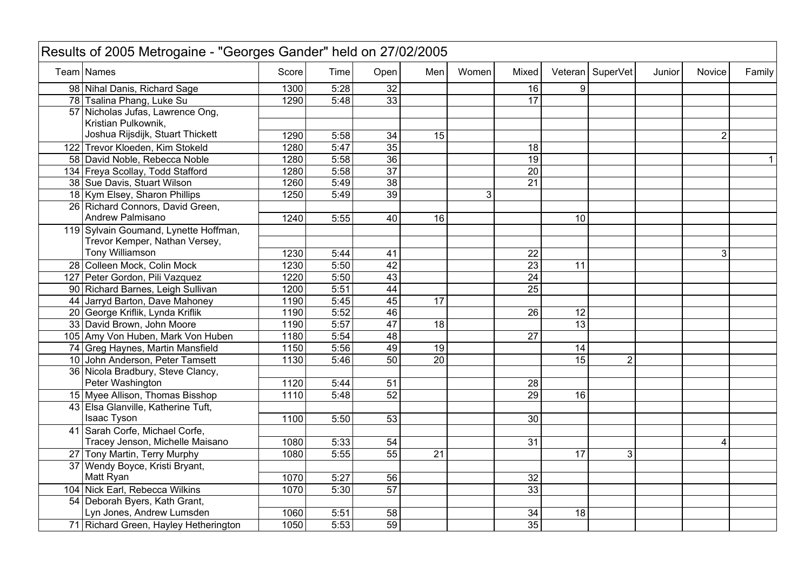| Results of 2005 Metrogaine - "Georges Gander" held on 27/02/2005 |                                       |       |      |                 |                 |       |                 |                 |                  |        |                |        |
|------------------------------------------------------------------|---------------------------------------|-------|------|-----------------|-----------------|-------|-----------------|-----------------|------------------|--------|----------------|--------|
|                                                                  | Team Names                            | Score | Time | Open            | Men             | Women | Mixed           |                 | Veteran SuperVet | Junior | <b>Novice</b>  | Family |
|                                                                  | 98 Nihal Danis, Richard Sage          | 1300  | 5:28 | 32              |                 |       | 16              | 9               |                  |        |                |        |
|                                                                  | 78 Tsalina Phang, Luke Su             | 1290  | 5:48 | 33              |                 |       | 17              |                 |                  |        |                |        |
|                                                                  | 57 Nicholas Jufas, Lawrence Ong,      |       |      |                 |                 |       |                 |                 |                  |        |                |        |
|                                                                  | Kristian Pulkownik,                   |       |      |                 |                 |       |                 |                 |                  |        |                |        |
|                                                                  | Joshua Rijsdijk, Stuart Thickett      | 1290  | 5:58 | 34              | 15              |       |                 |                 |                  |        | $\overline{2}$ |        |
|                                                                  | 122 Trevor Kloeden, Kim Stokeld       | 1280  | 5:47 | 35              |                 |       | 18              |                 |                  |        |                |        |
|                                                                  | 58 David Noble, Rebecca Noble         | 1280  | 5:58 | $\overline{36}$ |                 |       | $\overline{19}$ |                 |                  |        |                |        |
|                                                                  | 134 Freya Scollay, Todd Stafford      | 1280  | 5:58 | $\overline{37}$ |                 |       | 20              |                 |                  |        |                |        |
|                                                                  | 38 Sue Davis, Stuart Wilson           | 1260  | 5:49 | 38              |                 |       | $\overline{21}$ |                 |                  |        |                |        |
|                                                                  | 18 Kym Elsey, Sharon Phillips         | 1250  | 5:49 | 39              |                 | 3     |                 |                 |                  |        |                |        |
|                                                                  | 26 Richard Connors, David Green,      |       |      |                 |                 |       |                 |                 |                  |        |                |        |
|                                                                  | Andrew Palmisano                      | 1240  | 5:55 | 40              | 16              |       |                 | 10              |                  |        |                |        |
|                                                                  | 119 Sylvain Goumand, Lynette Hoffman, |       |      |                 |                 |       |                 |                 |                  |        |                |        |
|                                                                  | Trevor Kemper, Nathan Versey,         |       |      |                 |                 |       |                 |                 |                  |        |                |        |
|                                                                  | Tony Williamson                       | 1230  | 5:44 | 41              |                 |       | 22              |                 |                  |        | 3              |        |
|                                                                  | 28 Colleen Mock, Colin Mock           | 1230  | 5:50 | 42              |                 |       | $\overline{23}$ | 11              |                  |        |                |        |
|                                                                  | 127 Peter Gordon, Pili Vazquez        | 1220  | 5:50 | $\overline{43}$ |                 |       | 24              |                 |                  |        |                |        |
|                                                                  | 90 Richard Barnes, Leigh Sullivan     | 1200  | 5:51 | 44              |                 |       | $\overline{25}$ |                 |                  |        |                |        |
|                                                                  | 44 Jarryd Barton, Dave Mahoney        | 1190  | 5:45 | 45              | $\overline{17}$ |       |                 |                 |                  |        |                |        |
|                                                                  | 20 George Kriflik, Lynda Kriflik      | 1190  | 5:52 | 46              |                 |       | 26              | 12              |                  |        |                |        |
|                                                                  | 33 David Brown, John Moore            | 1190  | 5:57 | 47              | 18              |       |                 | 13              |                  |        |                |        |
|                                                                  | 105 Amy Von Huben, Mark Von Huben     | 1180  | 5:54 | 48              |                 |       | $\overline{27}$ |                 |                  |        |                |        |
|                                                                  | 74 Greg Haynes, Martin Mansfield      | 1150  | 5:56 | 49              | 19              |       |                 | 14              |                  |        |                |        |
|                                                                  | 10 John Anderson, Peter Tamsett       | 1130  | 5:46 | 50              | $\overline{20}$ |       |                 | 15              | $\overline{2}$   |        |                |        |
|                                                                  | 36 Nicola Bradbury, Steve Clancy,     |       |      |                 |                 |       |                 |                 |                  |        |                |        |
|                                                                  | Peter Washington                      | 1120  | 5:44 | 51              |                 |       | 28              |                 |                  |        |                |        |
|                                                                  | 15 Myee Allison, Thomas Bisshop       | 1110  | 5:48 | 52              |                 |       | 29              | $\overline{16}$ |                  |        |                |        |
|                                                                  | 43 Elsa Glanville, Katherine Tuft,    |       |      |                 |                 |       |                 |                 |                  |        |                |        |
|                                                                  | Isaac Tyson                           | 1100  | 5:50 | 53              |                 |       | 30              |                 |                  |        |                |        |
|                                                                  | 41 Sarah Corfe, Michael Corfe,        |       |      |                 |                 |       |                 |                 |                  |        |                |        |
|                                                                  | Tracey Jenson, Michelle Maisano       | 1080  | 5:33 | 54              |                 |       | 31              |                 |                  |        | 4              |        |
|                                                                  | 27 Tony Martin, Terry Murphy          | 1080  | 5:55 | 55              | 21              |       |                 | 17              | 3                |        |                |        |
|                                                                  | 37 Wendy Boyce, Kristi Bryant,        |       |      |                 |                 |       |                 |                 |                  |        |                |        |
|                                                                  | Matt Ryan                             | 1070  | 5:27 | 56              |                 |       | 32              |                 |                  |        |                |        |
|                                                                  | 104 Nick Earl, Rebecca Wilkins        | 1070  | 5:30 | 57              |                 |       | 33              |                 |                  |        |                |        |
|                                                                  | 54 Deborah Byers, Kath Grant,         |       |      |                 |                 |       |                 |                 |                  |        |                |        |
|                                                                  | Lyn Jones, Andrew Lumsden             | 1060  | 5:51 | 58              |                 |       | 34              | 18              |                  |        |                |        |
|                                                                  | 71 Richard Green, Hayley Hetherington | 1050  | 5:53 | 59              |                 |       | 35              |                 |                  |        |                |        |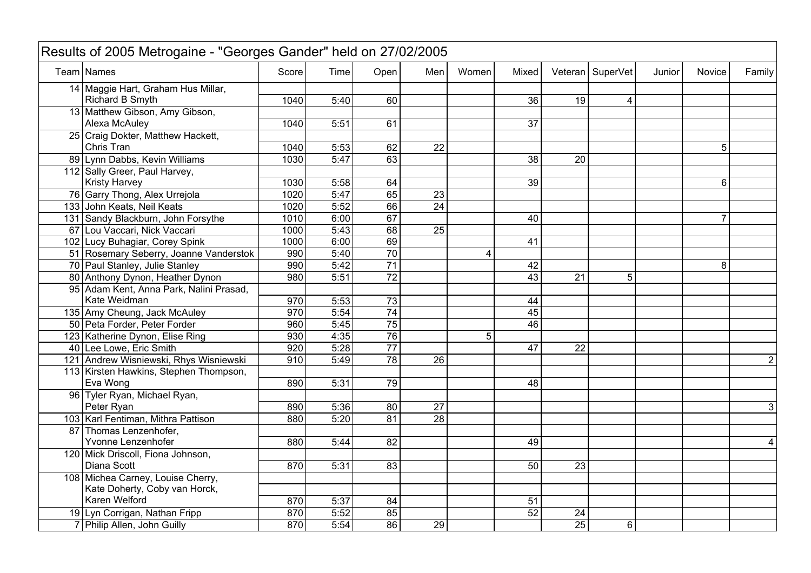| Results of 2005 Metrogaine - "Georges Gander" held on 27/02/2005 |       |      |                 |                 |       |                 |                 |                    |        |                |                |
|------------------------------------------------------------------|-------|------|-----------------|-----------------|-------|-----------------|-----------------|--------------------|--------|----------------|----------------|
| Team Names                                                       | Score | Time | Open            | Men             | Women | Mixed           |                 | Veteran   SuperVet | Junior | <b>Novice</b>  | Family         |
| 14 Maggie Hart, Graham Hus Millar,                               |       |      |                 |                 |       |                 |                 |                    |        |                |                |
| Richard B Smyth                                                  | 1040  | 5:40 | 60              |                 |       | 36              | 19              | 4                  |        |                |                |
| 13 Matthew Gibson, Amy Gibson,                                   |       |      |                 |                 |       |                 |                 |                    |        |                |                |
| Alexa McAuley                                                    | 1040  | 5:51 | 61              |                 |       | 37              |                 |                    |        |                |                |
| 25 Craig Dokter, Matthew Hackett,                                |       |      |                 |                 |       |                 |                 |                    |        |                |                |
| Chris Tran                                                       | 1040  | 5:53 | 62              | $\overline{22}$ |       |                 |                 |                    |        | 5              |                |
| 89 Lynn Dabbs, Kevin Williams                                    | 1030  | 5:47 | 63              |                 |       | 38              | 20              |                    |        |                |                |
| 112 Sally Greer, Paul Harvey,                                    |       |      |                 |                 |       |                 |                 |                    |        |                |                |
| <b>Kristy Harvey</b>                                             | 1030  | 5:58 | 64              |                 |       | $\overline{39}$ |                 |                    |        | 6              |                |
| 76 Garry Thong, Alex Urrejola                                    | 1020  | 5:47 | 65              | 23              |       |                 |                 |                    |        |                |                |
| 133 John Keats, Neil Keats                                       | 1020  | 5:52 | 66              | $\overline{24}$ |       |                 |                 |                    |        |                |                |
| 131 Sandy Blackburn, John Forsythe                               | 1010  | 6:00 | 67              |                 |       | 40              |                 |                    |        | $\overline{7}$ |                |
| 67 Lou Vaccari, Nick Vaccari                                     | 1000  | 5:43 | 68              | $\overline{25}$ |       |                 |                 |                    |        |                |                |
| 102 Lucy Buhagiar, Corey Spink                                   | 1000  | 6:00 | 69              |                 |       | 41              |                 |                    |        |                |                |
| 51 Rosemary Seberry, Joanne Vanderstok                           | 990   | 5:40 | $\overline{70}$ |                 | 4     |                 |                 |                    |        |                |                |
| 70 Paul Stanley, Julie Stanley                                   | 990   | 5:42 | $\overline{71}$ |                 |       | 42              |                 |                    |        | 8              |                |
| 80 Anthony Dynon, Heather Dynon                                  | 980   | 5:51 | $\overline{72}$ |                 |       | 43              | $\overline{21}$ | 5                  |        |                |                |
| 95 Adam Kent, Anna Park, Nalini Prasad,                          |       |      |                 |                 |       |                 |                 |                    |        |                |                |
| Kate Weidman                                                     | 970   | 5:53 | $\overline{73}$ |                 |       | 44              |                 |                    |        |                |                |
| 135 Amy Cheung, Jack McAuley                                     | 970   | 5:54 | $\overline{74}$ |                 |       | 45              |                 |                    |        |                |                |
| 50 Peta Forder, Peter Forder                                     | 960   | 5:45 | 75              |                 |       | 46              |                 |                    |        |                |                |
| 123 Katherine Dynon, Elise Ring                                  | 930   | 4:35 | 76              |                 | 5     |                 |                 |                    |        |                |                |
| 40 Lee Lowe, Eric Smith                                          | 920   | 5:28 | $\overline{77}$ |                 |       | 47              | $\overline{22}$ |                    |        |                |                |
| 121 Andrew Wisniewski, Rhys Wisniewski                           | 910   | 5:49 | 78              | $\overline{26}$ |       |                 |                 |                    |        |                | $\overline{2}$ |
| 113 Kirsten Hawkins, Stephen Thompson,                           |       |      |                 |                 |       |                 |                 |                    |        |                |                |
| Eva Wong                                                         | 890   | 5:31 | 79              |                 |       | 48              |                 |                    |        |                |                |
| 96 Tyler Ryan, Michael Ryan,                                     |       |      |                 |                 |       |                 |                 |                    |        |                |                |
| Peter Ryan                                                       | 890   | 5:36 | $\overline{80}$ | $\overline{27}$ |       |                 |                 |                    |        |                | 3              |
| 103 Karl Fentiman, Mithra Pattison                               | 880   | 5:20 | 81              | 28              |       |                 |                 |                    |        |                |                |
| 87 Thomas Lenzenhofer,                                           |       |      |                 |                 |       |                 |                 |                    |        |                |                |
| Yvonne Lenzenhofer                                               | 880   | 5:44 | 82              |                 |       | 49              |                 |                    |        |                | 4              |
| 120 Mick Driscoll, Fiona Johnson,                                |       |      |                 |                 |       |                 |                 |                    |        |                |                |
| Diana Scott                                                      | 870   | 5:31 | $\overline{83}$ |                 |       | $\overline{50}$ | $\overline{23}$ |                    |        |                |                |
| 108 Michea Carney, Louise Cherry,                                |       |      |                 |                 |       |                 |                 |                    |        |                |                |
| Kate Doherty, Coby van Horck,                                    |       |      |                 |                 |       |                 |                 |                    |        |                |                |
| Karen Welford                                                    | 870   | 5:37 | $\overline{84}$ |                 |       | 51              |                 |                    |        |                |                |
| 19 Lyn Corrigan, Nathan Fripp                                    | 870   | 5:52 | 85              |                 |       | $\overline{52}$ | 24              |                    |        |                |                |
| 7 Philip Allen, John Guilly                                      | 870   | 5:54 | 86              | $\overline{29}$ |       |                 | $\overline{25}$ | 6                  |        |                |                |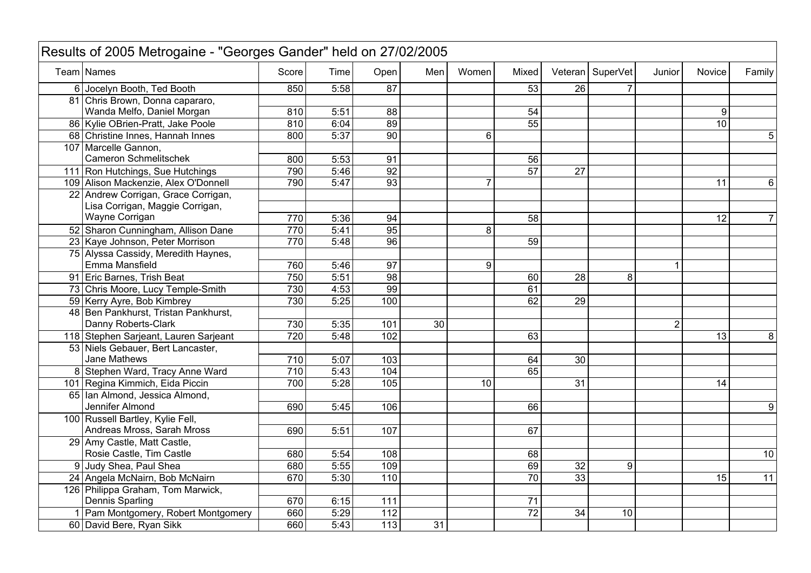| Results of 2005 Metrogaine - "Georges Gander" held on 27/02/2005 |                  |      |                  |                 |       |                 |                 |                  |                |                 |                |
|------------------------------------------------------------------|------------------|------|------------------|-----------------|-------|-----------------|-----------------|------------------|----------------|-----------------|----------------|
| Team Names                                                       | Score            | Time | Open             | Men             | Women | Mixed           |                 | Veteran SuperVet | Junior         | <b>Novice</b>   | Family         |
| 6 Jocelyn Booth, Ted Booth                                       | 850              | 5:58 | 87               |                 |       | 53              | 26              |                  |                |                 |                |
| 81 Chris Brown, Donna capararo,                                  |                  |      |                  |                 |       |                 |                 |                  |                |                 |                |
| Wanda Melfo, Daniel Morgan                                       | 810              | 5:51 | $\overline{88}$  |                 |       | 54              |                 |                  |                | 9               |                |
| 86 Kylie OBrien-Pratt, Jake Poole                                | 810              | 6:04 | 89               |                 |       | $\overline{55}$ |                 |                  |                | 10 <sup>1</sup> |                |
| 68 Christine Innes, Hannah Innes                                 | 800              | 5:37 | 90               |                 | 6     |                 |                 |                  |                |                 | 5              |
| 107 Marcelle Gannon,                                             |                  |      |                  |                 |       |                 |                 |                  |                |                 |                |
| <b>Cameron Schmelitschek</b>                                     | 800              | 5:53 | 91               |                 |       | 56              |                 |                  |                |                 |                |
| 111 Ron Hutchings, Sue Hutchings                                 | 790              | 5:46 | 92               |                 |       | $\overline{57}$ | 27              |                  |                |                 |                |
| 109 Alison Mackenzie, Alex O'Donnell                             | 790              | 5:47 | 93               |                 | 7     |                 |                 |                  |                | 11              | 6              |
| 22 Andrew Corrigan, Grace Corrigan,                              |                  |      |                  |                 |       |                 |                 |                  |                |                 |                |
| Lisa Corrigan, Maggie Corrigan,                                  |                  |      |                  |                 |       |                 |                 |                  |                |                 |                |
| Wayne Corrigan                                                   | 770              | 5:36 | 94               |                 |       | 58              |                 |                  |                | 12              | $\overline{7}$ |
| 52 Sharon Cunningham, Allison Dane                               | 770              | 5:41 | 95               |                 | 8     |                 |                 |                  |                |                 |                |
| 23 Kaye Johnson, Peter Morrison                                  | 770              | 5:48 | $\overline{96}$  |                 |       | 59              |                 |                  |                |                 |                |
| 75 Alyssa Cassidy, Meredith Haynes,                              |                  |      |                  |                 |       |                 |                 |                  |                |                 |                |
| Emma Mansfield                                                   | 760              | 5:46 | 97               |                 | 9     |                 |                 |                  | 1              |                 |                |
| 91 Eric Barnes, Trish Beat                                       | 750              | 5:51 | 98               |                 |       | 60              | 28              | 8                |                |                 |                |
| 73 Chris Moore, Lucy Temple-Smith                                | 730              | 4:53 | 99               |                 |       | 61              |                 |                  |                |                 |                |
| 59 Kerry Ayre, Bob Kimbrey                                       | 730              | 5:25 | 100              |                 |       | 62              | 29              |                  |                |                 |                |
| 48 Ben Pankhurst, Tristan Pankhurst,                             |                  |      |                  |                 |       |                 |                 |                  |                |                 |                |
| Danny Roberts-Clark                                              | 730              | 5:35 | 101              | $\overline{30}$ |       |                 |                 |                  | $\overline{2}$ |                 |                |
| 118 Stephen Sarjeant, Lauren Sarjeant                            | $\overline{720}$ | 5:48 | 102              |                 |       | 63              |                 |                  |                | 13              | 8              |
| 53 Niels Gebauer, Bert Lancaster,                                |                  |      |                  |                 |       |                 |                 |                  |                |                 |                |
| Jane Mathews                                                     | 710              | 5:07 | 103              |                 |       | 64              | 30              |                  |                |                 |                |
| 8 Stephen Ward, Tracy Anne Ward                                  | $\overline{710}$ | 5:43 | 104              |                 |       | 65              |                 |                  |                |                 |                |
| 101 Regina Kimmich, Eida Piccin                                  | 700              | 5:28 | 105              |                 | 10    |                 | $\overline{31}$ |                  |                | 14              |                |
| 65 Ian Almond, Jessica Almond,                                   |                  |      |                  |                 |       |                 |                 |                  |                |                 |                |
| Jennifer Almond                                                  | 690              | 5:45 | 106              |                 |       | 66              |                 |                  |                |                 | 9              |
| 100 Russell Bartley, Kylie Fell,                                 |                  |      |                  |                 |       |                 |                 |                  |                |                 |                |
| Andreas Mross, Sarah Mross                                       | 690              | 5:51 | 107              |                 |       | 67              |                 |                  |                |                 |                |
| 29 Amy Castle, Matt Castle,                                      |                  |      |                  |                 |       |                 |                 |                  |                |                 |                |
| Rosie Castle, Tim Castle                                         | 680              | 5:54 | 108              |                 |       | 68              |                 |                  |                |                 | 10             |
| 9 Judy Shea, Paul Shea                                           | 680              | 5:55 | 109              |                 |       | 69              | $\overline{32}$ | 9                |                |                 |                |
| 24 Angela McNairn, Bob McNairn                                   | 670              | 5:30 | 110              |                 |       | $\overline{70}$ | 33              |                  |                | 15              | 11             |
| 126 Philippa Graham, Tom Marwick,                                |                  |      |                  |                 |       |                 |                 |                  |                |                 |                |
| Dennis Sparling                                                  | 670              | 6:15 | 111              |                 |       | 71              |                 |                  |                |                 |                |
| 1 Pam Montgomery, Robert Montgomery                              | 660              | 5:29 | $\overline{112}$ |                 |       | $\overline{72}$ | 34              | 10               |                |                 |                |
| 60 David Bere, Ryan Sikk                                         | 660              | 5:43 | 113              | 31              |       |                 |                 |                  |                |                 |                |